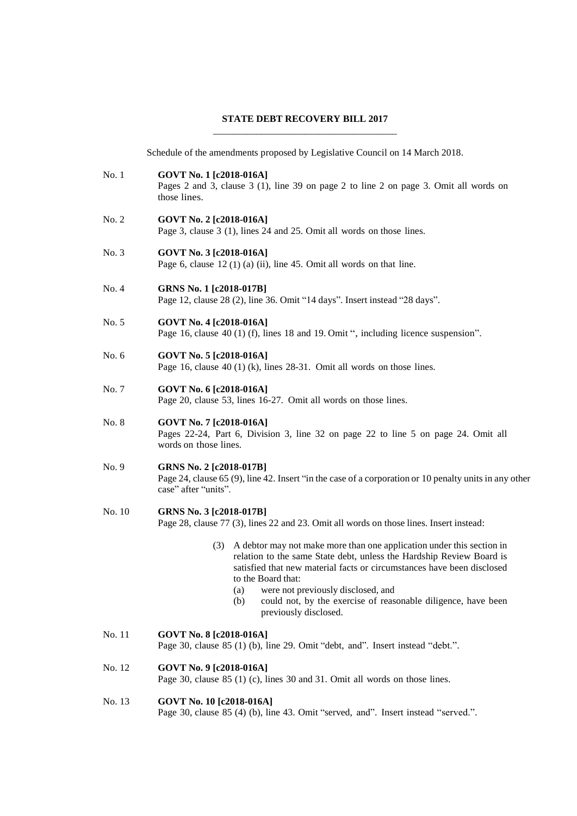## **STATE DEBT RECOVERY BILL 2017** \_\_\_\_\_\_\_\_\_\_\_\_\_\_\_\_\_\_\_\_\_\_\_\_\_\_\_\_\_\_\_\_\_\_\_\_\_\_

Schedule of the amendments proposed by Legislative Council on 14 March 2018.

No. 1 **GOVT No. 1 [c2018-016A]** Pages 2 and 3, clause 3 (1), line 39 on page 2 to line 2 on page 3. Omit all words on those lines. No. 2 **GOVT No. 2 [c2018-016A]** Page 3, clause 3 (1), lines 24 and 25. Omit all words on those lines. No. 3 **GOVT No. 3 [c2018-016A]** Page 6, clause  $12(1)(a)$  (ii), line 45. Omit all words on that line. No. 4 **GRNS No. 1 [c2018-017B]** Page 12, clause 28 (2), line 36. Omit "14 days". Insert instead "28 days". No. 5 **GOVT No. 4 [c2018-016A]** Page 16, clause 40 (1) (f), lines 18 and 19. Omit ", including licence suspension". No. 6 **GOVT No. 5 [c2018-016A]** Page 16, clause 40 (1) (k), lines 28-31. Omit all words on those lines. No. 7 **GOVT No. 6 [c2018-016A]** Page 20, clause 53, lines 16-27. Omit all words on those lines. No. 8 **GOVT No. 7 [c2018-016A]** Pages 22-24, Part 6, Division 3, line 32 on page 22 to line 5 on page 24. Omit all words on those lines. No. 9 **GRNS No. 2 [c2018-017B]** Page 24, clause 65 (9), line 42. Insert "in the case of a corporation or 10 penalty units in any other case" after "units". No. 10 **GRNS No. 3 [c2018-017B]** Page 28, clause 77 (3), lines 22 and 23. Omit all words on those lines. Insert instead: (3) A debtor may not make more than one application under this section in relation to the same State debt, unless the Hardship Review Board is satisfied that new material facts or circumstances have been disclosed to the Board that: (a) were not previously disclosed, and (b) could not, by the exercise of reasonable diligence, have been previously disclosed. No. 11 **GOVT No. 8 [c2018-016A]** Page 30, clause 85 (1) (b), line 29. Omit "debt, and". Insert instead "debt.". No. 12 **GOVT No. 9 [c2018-016A]** Page 30, clause 85 (1) (c), lines 30 and 31. Omit all words on those lines. No. 13 **GOVT No. 10 [c2018-016A]** Page 30, clause 85 (4) (b), line 43. Omit "served, and". Insert instead "served.".